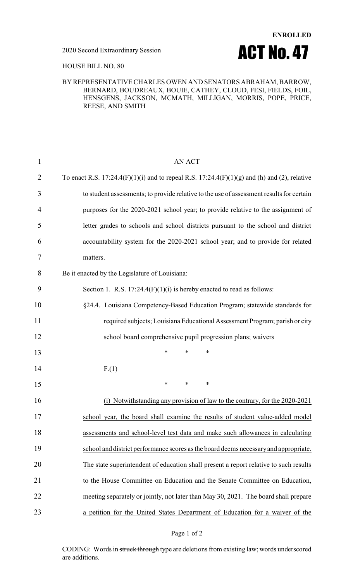

### HOUSE BILL NO. 80

### BY REPRESENTATIVE CHARLES OWEN AND SENATORS ABRAHAM, BARROW, BERNARD, BOUDREAUX, BOUIE, CATHEY, CLOUD, FESI, FIELDS, FOIL, HENSGENS, JACKSON, MCMATH, MILLIGAN, MORRIS, POPE, PRICE, REESE, AND SMITH

| $\mathbf{1}$   | <b>AN ACT</b>                                                                                |
|----------------|----------------------------------------------------------------------------------------------|
| $\overline{2}$ | To enact R.S. 17:24.4(F)(1)(i) and to repeal R.S. 17:24.4(F)(1)(g) and (h) and (2), relative |
| 3              | to student assessments; to provide relative to the use of assessment results for certain     |
| 4              | purposes for the 2020-2021 school year; to provide relative to the assignment of             |
| 5              | letter grades to schools and school districts pursuant to the school and district            |
| 6              | accountability system for the 2020-2021 school year; and to provide for related              |
| 7              | matters.                                                                                     |
| 8              | Be it enacted by the Legislature of Louisiana:                                               |
| 9              | Section 1. R.S. $17:24.4(F)(1)(i)$ is hereby enacted to read as follows:                     |
| 10             | §24.4. Louisiana Competency-Based Education Program; statewide standards for                 |
| 11             | required subjects; Louisiana Educational Assessment Program; parish or city                  |
| 12             | school board comprehensive pupil progression plans; waivers                                  |
| 13             | *<br>$\ast$<br>∗                                                                             |
| 14             | F(1)                                                                                         |
| 15             | $\ast$<br>$\ast$<br>$\ast$                                                                   |
| 16             | (i) Notwithstanding any provision of law to the contrary, for the 2020-2021                  |
| 17             | school year, the board shall examine the results of student value-added model                |
| 18             | assessments and school-level test data and make such allowances in calculating               |
| 19             | school and district performance scores as the board deems necessary and appropriate.         |
| 20             | The state superintendent of education shall present a report relative to such results        |
| 21             | to the House Committee on Education and the Senate Committee on Education,                   |
| 22             | meeting separately or jointly, not later than May 30, 2021. The board shall prepare          |
| 23             | a petition for the United States Department of Education for a waiver of the                 |

### Page 1 of 2

CODING: Words in struck through type are deletions from existing law; words underscored are additions.